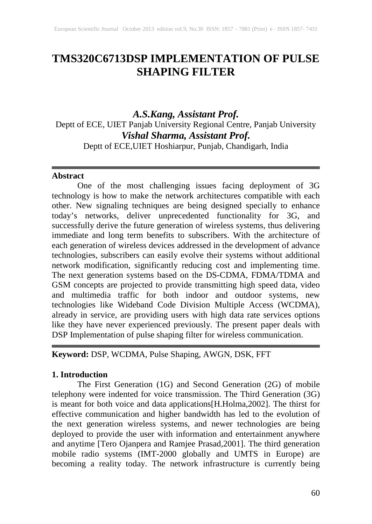# **TMS320C6713DSP IMPLEMENTATION OF PULSE SHAPING FILTER**

*A.S.Kang, Assistant Prof.* Deptt of ECE, UIET Panjab University Regional Centre, Panjab University *Vishal Sharma, Assistant Prof.* Deptt of ECE,UIET Hoshiarpur, Punjab, Chandigarh, India

### **Abstract**

One of the most challenging issues facing deployment of 3G technology is how to make the network architectures compatible with each other. New signaling techniques are being designed specially to enhance today's networks, deliver unprecedented functionality for 3G, and successfully derive the future generation of wireless systems, thus delivering immediate and long term benefits to subscribers. With the architecture of each generation of wireless devices addressed in the development of advance technologies, subscribers can easily evolve their systems without additional network modification, significantly reducing cost and implementing time. The next generation systems based on the DS-CDMA, FDMA/TDMA and GSM concepts are projected to provide transmitting high speed data, video and multimedia traffic for both indoor and outdoor systems, new technologies like Wideband Code Division Multiple Access (WCDMA), already in service, are providing users with high data rate services options like they have never experienced previously. The present paper deals with DSP Implementation of pulse shaping filter for wireless communication.

# **Keyword:** DSP, WCDMA, Pulse Shaping, AWGN, DSK, FFT

#### **1. Introduction**

The First Generation (1G) and Second Generation (2G) of mobile telephony were indented for voice transmission. The Third Generation (3G) is meant for both voice and data applications[H.Holma,2002]. The thirst for effective communication and higher bandwidth has led to the evolution of the next generation wireless systems, and newer technologies are being deployed to provide the user with information and entertainment anywhere and anytime [Tero Ojanpera and Ramjee Prasad,2001]. The third generation mobile radio systems (IMT-2000 globally and UMTS in Europe) are becoming a reality today. The network infrastructure is currently being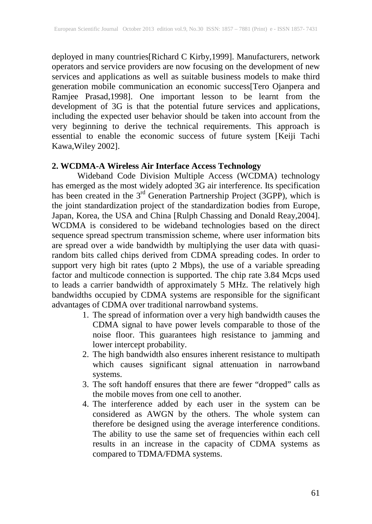deployed in many countries[Richard C Kirby,1999]. Manufacturers, network operators and service providers are now focusing on the development of new services and applications as well as suitable business models to make third generation mobile communication an economic success[Tero Ojanpera and Ramjee Prasad,1998]. One important lesson to be learnt from the development of 3G is that the potential future services and applications, including the expected user behavior should be taken into account from the very beginning to derive the technical requirements. This approach is essential to enable the economic success of future system [Keiji Tachi Kawa,Wiley 2002].

## **2. WCDMA-A Wireless Air Interface Access Technology**

Wideband Code Division Multiple Access (WCDMA) technology has emerged as the most widely adopted 3G air interference. Its specification has been created in the  $3<sup>rd</sup>$  Generation Partnership Project (3GPP), which is the joint standardization project of the standardization bodies from Europe, Japan, Korea, the USA and China [Rulph Chassing and Donald Reay,2004]. WCDMA is considered to be wideband technologies based on the direct sequence spread spectrum transmission scheme, where user information bits are spread over a wide bandwidth by multiplying the user data with quasirandom bits called chips derived from CDMA spreading codes. In order to support very high bit rates (upto 2 Mbps), the use of a variable spreading factor and multicode connection is supported. The chip rate 3.84 Mcps used to leads a carrier bandwidth of approximately 5 MHz. The relatively high bandwidths occupied by CDMA systems are responsible for the significant advantages of CDMA over traditional narrowband systems.

- 1. The spread of information over a very high bandwidth causes the CDMA signal to have power levels comparable to those of the noise floor. This guarantees high resistance to jamming and lower intercept probability.
- 2. The high bandwidth also ensures inherent resistance to multipath which causes significant signal attenuation in narrowband systems.
- 3. The soft handoff ensures that there are fewer "dropped" calls as the mobile moves from one cell to another.
- 4. The interference added by each user in the system can be considered as AWGN by the others. The whole system can therefore be designed using the average interference conditions. The ability to use the same set of frequencies within each cell results in an increase in the capacity of CDMA systems as compared to TDMA/FDMA systems.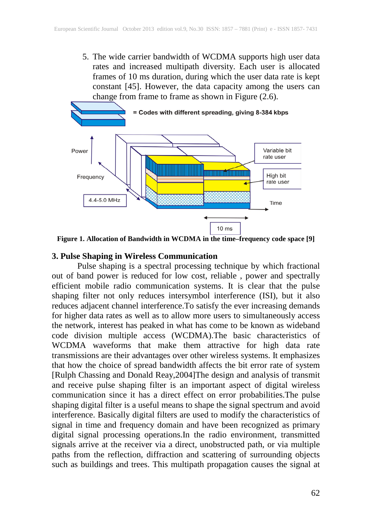5. The wide carrier bandwidth of WCDMA supports high user data rates and increased multipath diversity. Each user is allocated frames of 10 ms duration, during which the user data rate is kept constant [45]. However, the data capacity among the users can change from frame to frame as shown in Figure (2.6).



**Figure 1. Allocation of Bandwidth in WCDMA in the time–frequency code space [9]**

### **3. Pulse Shaping in Wireless Communication**

Pulse shaping is a spectral processing technique by which fractional out of band power is reduced for low cost, reliable , power and spectrally efficient mobile radio communication systems. It is clear that the pulse shaping filter not only reduces intersymbol interference (ISI), but it also reduces adjacent channel interference.To satisfy the ever increasing demands for higher data rates as well as to allow more users to simultaneously access the network, interest has peaked in what has come to be known as wideband code division multiple access (WCDMA).The basic characteristics of WCDMA waveforms that make them attractive for high data rate transmissions are their advantages over other wireless systems. It emphasizes that how the choice of spread bandwidth affects the bit error rate of system [Rulph Chassing and Donald Reay,2004]The design and analysis of transmit and receive pulse shaping filter is an important aspect of digital wireless communication since it has a direct effect on error probabilities.The pulse shaping digital filter is a useful means to shape the signal spectrum and avoid interference. Basically digital filters are used to modify the characteristics of signal in time and frequency domain and have been recognized as primary digital signal processing operations.In the radio environment, transmitted signals arrive at the receiver via a direct, unobstructed path, or via multiple paths from the reflection, diffraction and scattering of surrounding objects such as buildings and trees. This multipath propagation causes the signal at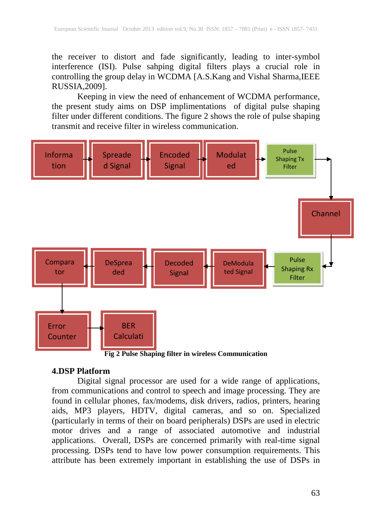the receiver to distort and fade significantly, leading to inter-symbol interference (ISI). Pulse sahping digital filters plays a crucial role in controlling the group delay in WCDMA [A.S.Kang and Vishal Sharma, IEEE RUSSIA,2009].

Keeping in view the need of enhancement of WCDMA performance, the present study aims on DSP implimentations of digital pulse shaping filter under different conditions. The figure 2 shows the role of pulse shaping transmit and receive filter in wireless communication.



**Fig 2 Pulse Shaping filter in wireless Communication**

## **4.DSP Platform**

Digital signal processor are used for a wide range of applications, from communications and control to speech and image processing. They are found in cellular phones, fax/modems, disk drivers, radios, printers, hearing aids, MP3 players, HDTV, digital cameras, and so on. Specialized (particularly in terms of their on board peripherals) DSPs are used in electric motor drives and a range of associated automotive and industrial applications. Overall, DSPs are concerned primarily with real-time signal processing. DSPs tend to have low power consumption requirements. This attribute has been extremely important in establishing the use of DSPs in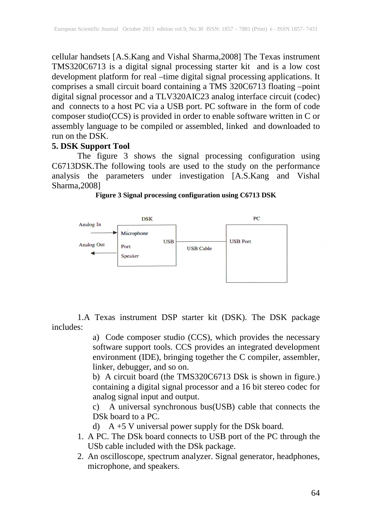cellular handsets [A.S.Kang and Vishal Sharma,2008] The Texas instrument TMS320C6713 is a digital signal processing starter kit and is a low cost development platform for real –time digital signal processing applications. It comprises a small circuit board containing a TMS 320C6713 floating –point digital signal processor and a TLV320AIC23 analog interface circuit (codec) and connects to a host PC via a USB port. PC software in the form of code composer studio(CCS) is provided in order to enable software written in C or assembly language to be compiled or assembled, linked and downloaded to run on the DSK.

### **5. DSK Support Tool**

The figure 3 shows the signal processing configuration using C6713DSK.The following tools are used to the study on the performance analysis the parameters under investigation [A.S.Kang and Vishal Sharma,2008]



**Figure 3 Signal processing configuration using C6713 DSK**

1.A Texas instrument DSP starter kit (DSK). The DSK package includes:

> a) Code composer studio (CCS), which provides the necessary software support tools. CCS provides an integrated development environment (IDE), bringing together the C compiler, assembler, linker, debugger, and so on.

> b) A circuit board (the TMS320C6713 DSk is shown in figure.) containing a digital signal processor and a 16 bit stereo codec for analog signal input and output.

> c) A universal synchronous bus(USB) cable that connects the DSk board to a PC.

d) A +5 V universal power supply for the DSk board.

- 1. A PC. The DSk board connects to USB port of the PC through the USb cable included with the DSk package.
- 2. An oscilloscope, spectrum analyzer. Signal generator, headphones, microphone, and speakers.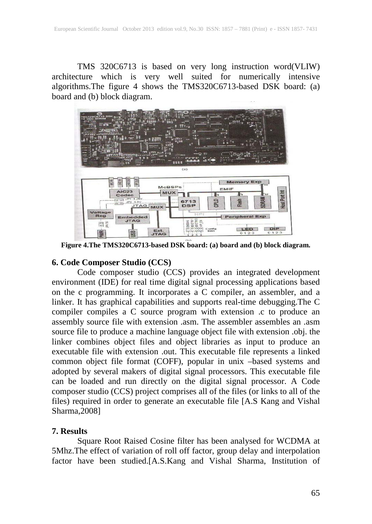TMS 320C6713 is based on very long instruction word(VLIW) architecture which is very well suited for numerically intensive algorithms.The figure 4 shows the TMS320C6713-based DSK board: (a) board and (b) block diagram.



**Figure 4.The TMS320C6713-based DSK board: (a) board and (b) block diagram.**

## **6. Code Composer Studio (CCS)**

Code composer studio (CCS) provides an integrated development environment (IDE) for real time digital signal processing applications based on the c programming. It incorporates a C compiler, an assembler, and a linker. It has graphical capabilities and supports real-time debugging.The C compiler compiles a C source program with extension .c to produce an assembly source file with extension .asm. The assembler assembles an .asm source file to produce a machine language object file with extension .obj. the linker combines object files and object libraries as input to produce an executable file with extension .out. This executable file represents a linked common object file format (COFF), popular in unix –based systems and adopted by several makers of digital signal processors. This executable file can be loaded and run directly on the digital signal processor. A Code composer studio (CCS) project comprises all of the files (or links to all of the files) required in order to generate an executable file [A.S Kang and Vishal Sharma,2008]

### **7. Results**

Square Root Raised Cosine filter has been analysed for WCDMA at 5Mhz.The effect of variation of roll off factor, group delay and interpolation factor have been studied.[A.S.Kang and Vishal Sharma, Institution of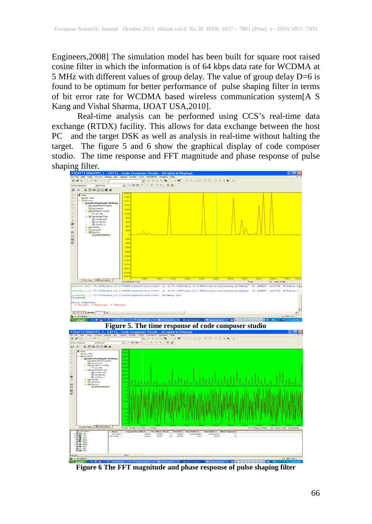Engineers,2008] The simulation model has been built for square root raised cosine filter in which the information is of 64 kbps data rate for WCDMA at 5 MHz with different values of group delay. The value of group delay D=6 is found to be optimum for better performance of pulse shaping filter in terms of bit error rate for WCDMA based wireless communication system[A S Kang and Vishal Sharma, IJOAT USA,2010].

Real-time analysis can be performed using CCS's real-time data exchange (RTDX) facility. This allows for data exchange between the host PC and the target DSK as well as analysis in real-time without halting the target. The figure 5 and 6 show the graphical display of code composer studio. The time response and FFT magnitude and phase response of pulse shaping filter.



**Figure 6 The FFT magnitude and phase response of pulse shaping filter**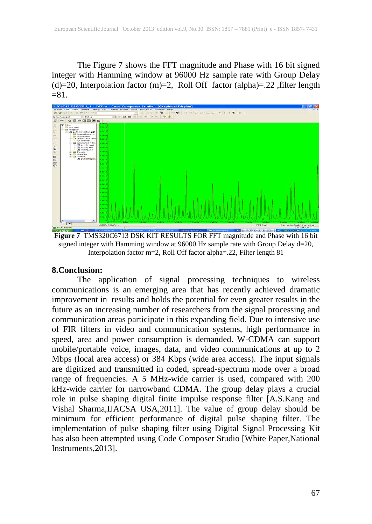The Figure 7 shows the FFT magnitude and Phase with 16 bit signed integer with Hamming window at 96000 Hz sample rate with Group Delay (d)=20, Interpolation factor (m)=2, Roll Off factor (alpha)=.22 , filter length  $= 81.$ 



**Figure 7** TMS320C6713 DSK KIT RESULTS FOR FFT magnitude and Phase with 16 bit signed integer with Hamming window at 96000 Hz sample rate with Group Delay d=20, Interpolation factor m=2, Roll Off factor alpha=.22, Filter length 81

## **8.Conclusion:**

The application of signal processing techniques to wireless communications is an emerging area that has recently achieved dramatic improvement in results and holds the potential for even greater results in the future as an increasing number of researchers from the signal processing and communication areas participate in this expanding field. Due to intensive use of FIR filters in video and communication systems, high performance in speed, area and power consumption is demanded. W-CDMA can support mobile/portable voice, images, data, and video communications at up to 2 Mbps (local area access) or 384 Kbps (wide area access). The input signals are digitized and transmitted in coded, spread-spectrum mode over a broad range of frequencies. A 5 MHz-wide carrier is used, compared with 200 kHz-wide carrier for narrowband CDMA. The group delay plays a crucial role in pulse shaping digital finite impulse response filter [A.S.Kang and Vishal Sharma,IJACSA USA,2011]. The value of group delay should be minimum for efficient performance of digital pulse shaping filter. The implementation of pulse shaping filter using Digital Signal Processing Kit has also been attempted using Code Composer Studio [White Paper,National Instruments,2013].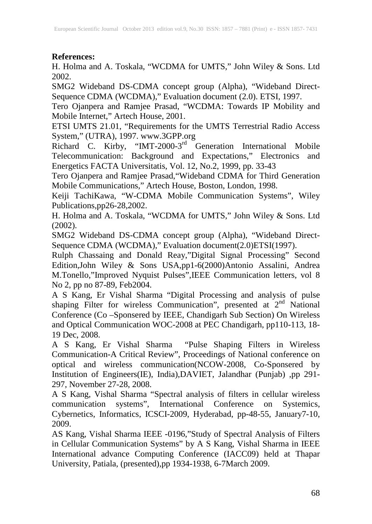## **References:**

H. Holma and A. Toskala, "WCDMA for UMTS," John Wiley & Sons. Ltd 2002.

SMG2 Wideband DS-CDMA concept group (Alpha), "Wideband Direct-Sequence CDMA (WCDMA)," Evaluation document (2.0). ETSI, 1997.

Tero Ojanpera and Ramjee Prasad, "WCDMA: Towards IP Mobility and Mobile Internet," Artech House, 2001.

ETSI UMTS 21.01, "Requirements for the UMTS Terrestrial Radio Access System," (UTRA), 1997. www.3GPP.org

Richard C. Kirby, "IMT-2000-3<sup>rd</sup> Generation International Mobile Telecommunication: Background and Expectations," Electronics and Energetics FACTA Universitatis, Vol. 12, No.2, 1999, pp. 33-43

Tero Ojanpera and Ramjee Prasad,"Wideband CDMA for Third Generation Mobile Communications," Artech House, Boston, London, 1998.

Keiji TachiKawa, "W-CDMA Mobile Communication Systems", Wiley Publications,pp26-28,2002.

H. Holma and A. Toskala, "WCDMA for UMTS," John Wiley & Sons. Ltd (2002).

SMG2 Wideband DS-CDMA concept group (Alpha), "Wideband Direct-Sequence CDMA (WCDMA)," Evaluation document(2.0)ETSI(1997).

Rulph Chassaing and Donald Reay,"Digital Signal Processing" Second Edition,John Wiley & Sons USA,pp1-6(2000)Antonio Assalini, Andrea M.Tonello,"Improved Nyquist Pulses",IEEE Communication letters, vol 8 No 2, pp no 87-89, Feb2004.

A S Kang, Er Vishal Sharma "Digital Processing and analysis of pulse shaping Filter for wireless Communication", presented at 2<sup>nd</sup> National Conference (Co –Sponsered by IEEE, Chandigarh Sub Section) On Wireless and Optical Communication WOC-2008 at PEC Chandigarh, pp110-113, 18- 19 Dec, 2008.

A S Kang, Er Vishal Sharma "Pulse Shaping Filters in Wireless Communication-A Critical Review", Proceedings of National conference on optical and wireless communication(NCOW-2008, Co-Sponsered by Institution of Engineers(IE), India),DAVIET, Jalandhar (Punjab) ,pp 291- 297, November 27-28, 2008.

A S Kang, Vishal Sharma "Spectral analysis of filters in cellular wireless communication systems", International Conference on Systemics, Cybernetics, Informatics, ICSCI-2009, Hyderabad, pp-48-55, January7-10, 2009.

AS Kang, Vishal Sharma IEEE -0196,"Study of Spectral Analysis of Filters in Cellular Communication Systems" by A S Kang, Vishal Sharma in IEEE International advance Computing Conference (IACC09) held at Thapar University, Patiala, (presented),pp 1934-1938, 6-7March 2009.